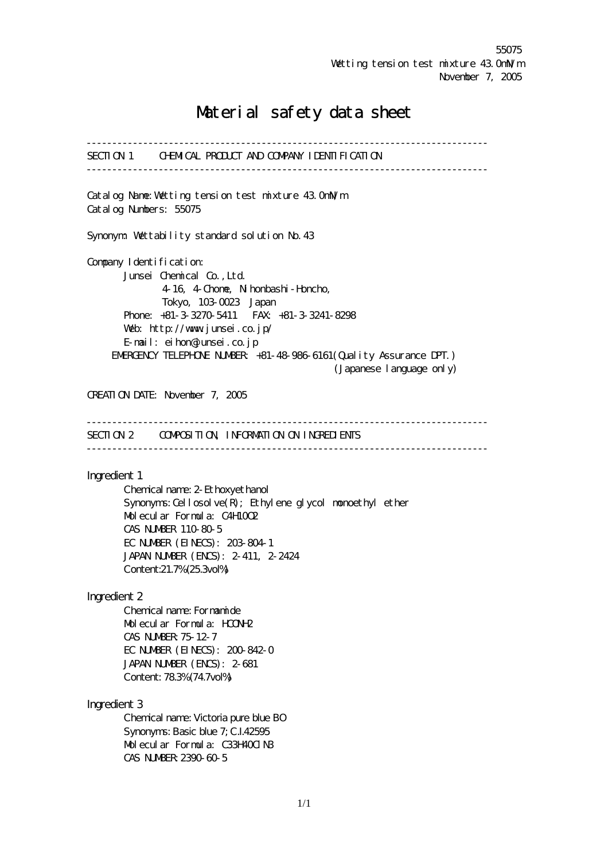# Material safety data sheet

------------------------------------------------------------------------------ SECTION 1 CHEMICAL PRODUCT AND COMPANY IDENTIFICATION ------------------------------------------------------------------------------ Catalog Name: Wetting tension test mixture 43.0mlVm Catalog Numbers: 55075 Synonym: Wettability standard solution No. 43 Company I dentification: Junsei Chemical Co.,Ltd. 4-16, 4-Chome, Nihonbashi-Honcho, Tokyo, 103-0023 Japan Phone: +81-3-3270-5411 FAX: +81-3-3241-8298 Web: http://www.junsei.co.jp/ E-mail: eihon@junsei.co.jp ENERGENCY TELEPHONE NUMBER +81-48-986-6161 (Quality Assurance DPT.) (Japanese language only) CREATION DATE: November 7, 2005 ------------------------------------------------------------------------------ SECTION 2 CONFICGITION, INFORMATION ON INGREDIENTS ------------------------------------------------------------------------------ Ingredient 1 Chemical name: 2-Ethoxyethanol Synonyms: Cellosolve(R); Ethylene glycol monoethyl ether Molecular Formula: C4H10O2 CAS NUMBER 110-80-5 EC NUMBER (EINECS): 203-804-1 JAPAN NUMBER (ENCS): 2-411, 2-2424 Content:21.7% (25.3vol%) Ingredient 2 Chemical name: Formamide Molecular Formula: HCONH2 CAS NUMBER:75-12-7 EC NUMBER (EINECS): 200-842-0 JAPAN NUMBER (ENCS): 2-681 Content: 78.3% (74.7vol%) Ingredient 3 Chemical name: Victoria pure blue BO Synonyms: Basic blue 7; C.I.42595 Molecular Formula: C33H400 N3 CAS NUMBER:2390-60-5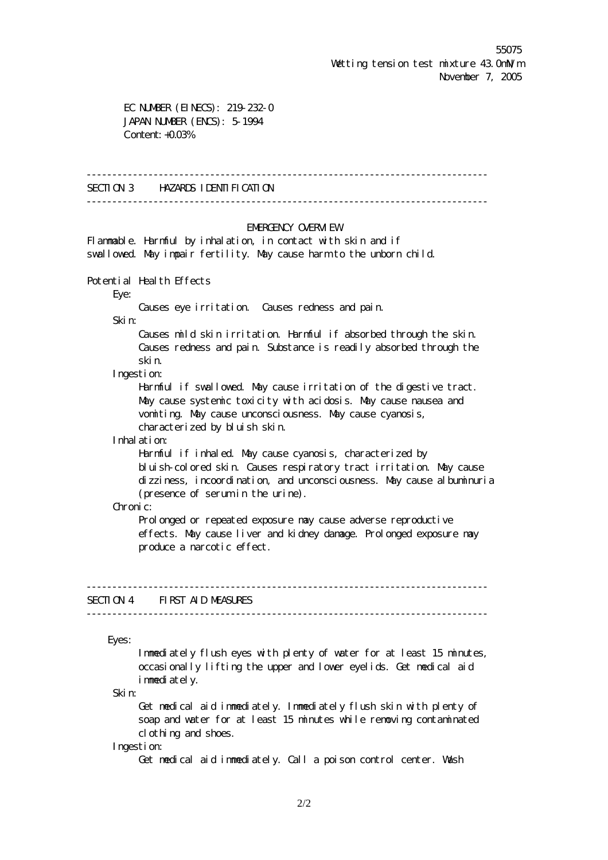EC NUMBER (EINECS): 219-232-0 JAPAN NUMBER (ENCS): 5-1994 Content: +0.03%

------------------------------------------------------------------------------

SECTION 3 HAZARDS IDENTIFICATION

------------------------------------------------------------------------------

## EMERGENCY **OVERVIEW**

Flammable. Harmful by inhalation, in contact with skin and if svallowed. May impair fertility. May cause harm to the unborn child.

Potential Health Effects

Eye:

Causes eye irritation. Causes redness and pain.

Skin:

 Causes mild skin irritation. Harmful if absorbed through the skin. Causes redness and pain. Substance is readily absorbed through the skin.

## Ingestion:

 Harmful if swallowed. May cause irritation of the digestive tract. May cause systemic toxicity with acidosis. May cause nausea and vomiting. May cause unconsciousness. May cause cyanosis, characterized by bluish skin.

Inhalation:

 Harmful if inhaled. May cause cyanosis, characterized by bluish-colored skin. Causes respiratory tract irritation. May cause dizziness, incoordination, and unconsciousness. May cause albuminuria (presence of serum in the urine).

#### Chronic:

Prol onged or repeated exposure nay cause adverse reproductive effects. May cause liver and kidney damage. Prolonged exposure may produce a narcotic effect.

#### ------------------------------------------------------------------------------ SECTION 4 FIRST AID MEASURES

------------------------------------------------------------------------------

Eyes:

 Immediately flush eyes with plenty of water for at least 15 minutes, occasionally lifting the upper and lower eyelids. Get medical aid i mmediately.

Skin:

 Get medical aid immediately. Immediately flush skin with plenty of soap and water for at least 15 minutes while removing contaminated clothing and shoes.

Ingestion:

Get medical aid immediately. Call a poison control center. Wash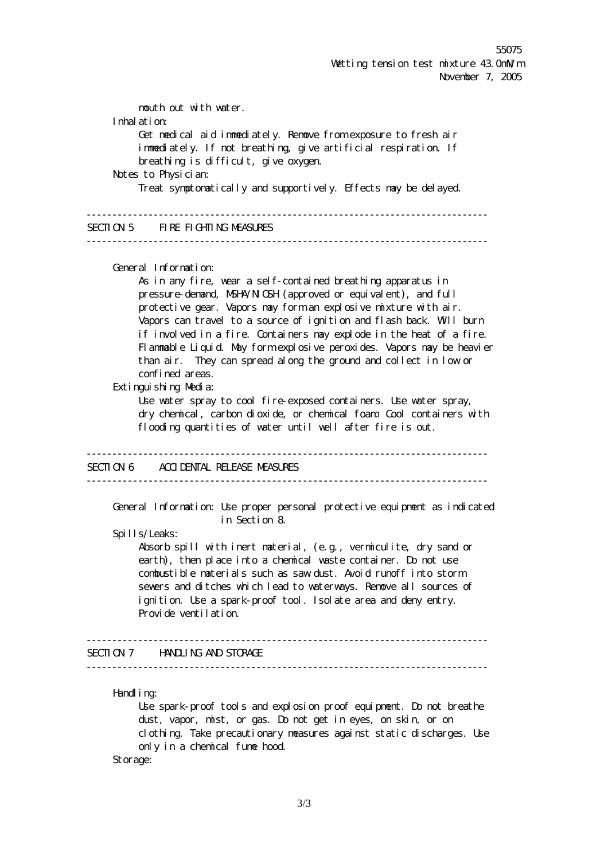mouth out with water. Inhalation: Get medical aid immediately. Remove from exposure to fresh air immediately. If not breathing, give artificial respiration. If breathing is difficult, give oxygen. Notes to Physician: Treat symptomatically and supportively. Effects may be delayed. ------------------------------------------------------------------------------ SECTION 5 FIRE FIGHTING MEASURES ------------------------------------------------------------------------------ General Information: As in any fire, wear a self-contained breathing apparatus in pressure-demand, NSHA/NICSH (approved or equivalent), and full protective gear. Vapors may form an explosive mixture with air. Vapors can travel to a source of ignition and flash back. Will burn if involved in a fire. Containers may explode in the heat of a fire. Flammable Liquid. May form explosive peroxides. Vapors may be heavier than air. They can spread along the ground and collect in low or confined areas. Extinguishing Media: Use water spray to cool fire-exposed containers. Use water spray, dry chemical, carbon dioxide, or chemical foam. Cool containers with flooding quantities of water until well after fire is out. ------------------------------------------------------------------------------ SECTION 6 ACCIDENTAL RELEASE MEASURES ------------------------------------------------------------------------------ General Information: Use proper personal protective equipment as indicated in Section 8. Spills/Leaks: Absorb spill with inert material, (e.g., vermiculite, dry sand or earth), then place into a chemical waste container. Do not use combustible materials such as saw dust. Avoid runoff into storm sewers and ditches which lead to waterways. Remove all sources of ignition. Use a spark-proof tool. Isolate area and deny entry. Provide ventilation. ------------------------------------------------------------------------------ SECTION 7 HANDLING AND STORAGE ------------------------------------------------------------------------------ Handl i ng: Use spark-proof tools and explosion proof equipment. Do not breathe dust, vapor, mist, or gas. Do not get in eyes, on skin, or on clothing. Take precautionary measures against static discharges. Use only in a chemical fume hood. Storage: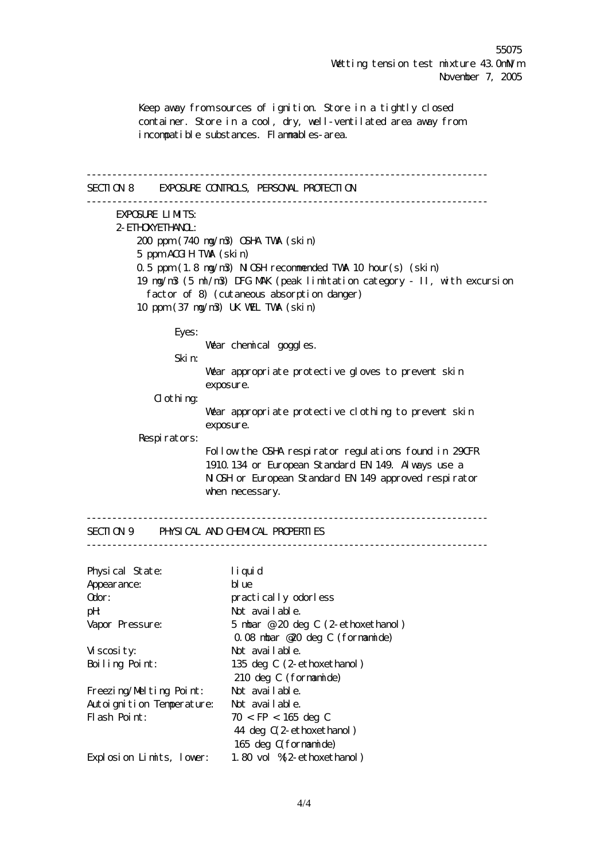Keep away from sources of ignition. Store in a tightly closed container. Store in a cool, dry, well-ventilated area away from incompatible substances. Flammables-area. ------------------------------------------------------------------------------ SECTION 8 EXPOSURE CONTROLS, PERSONAL PROTECTION ------------------------------------------------------------------------------ EXPOSURE LIMITS: 2-ETHOXYETHANOL: 200 ppm (740 mg/m3) OSHA TWA (skin) 5 ppm ACGIH TWA (skin) 0.5 ppm (1.8 mg/m3) NIOSH recommended TWA 10 hour(s) (skin) 19 mg/m3 (5 ml/m3) DFG MAK (peak limitation category - II, with excursion factor of 8) (cutaneous absorption danger) 10 ppm (37 mg/m3) UK WEL TWA (skin) Eyes: Wear chemical goggles. Skin: Wear appropriate protective gloves to prevent skin exposure. Clothing: Wear appropriate protective clothing to prevent skin exposure. Respirators: Follow the OSHA respirator regulations found in 29CFR 1910.134 or European Standard EN 149. Always use a N OSH or European Standard EN 149 approved respirator when necessary. ------------------------------------------------------------------------------ SECTION 9 PHYSICAL AND CHEMICAL PROPERTIES ------------------------------------------------------------------------------ Physical State: liquid Appearance: blue Odor: practically odorless pH: Not available. Vapor Pressure: 5 mbar @ 20 deg C (2-ethoxethanol) 0.08 mbar @20 deg C (formamide) Viscosity: Not available. Boiling Point: 135 deg C (2-ethoxethanol) 210 deg C (formamide) Freezing/Melting Point: Not available. Autoignition Temperature: Not available. Flash Point:  $70 < FP < 165$  deg C 44 deg C(2-ethoxethanol) 165 deg C(formamide) Explosion Limits, lower: 1.80 vol %(2-ethoxethanol)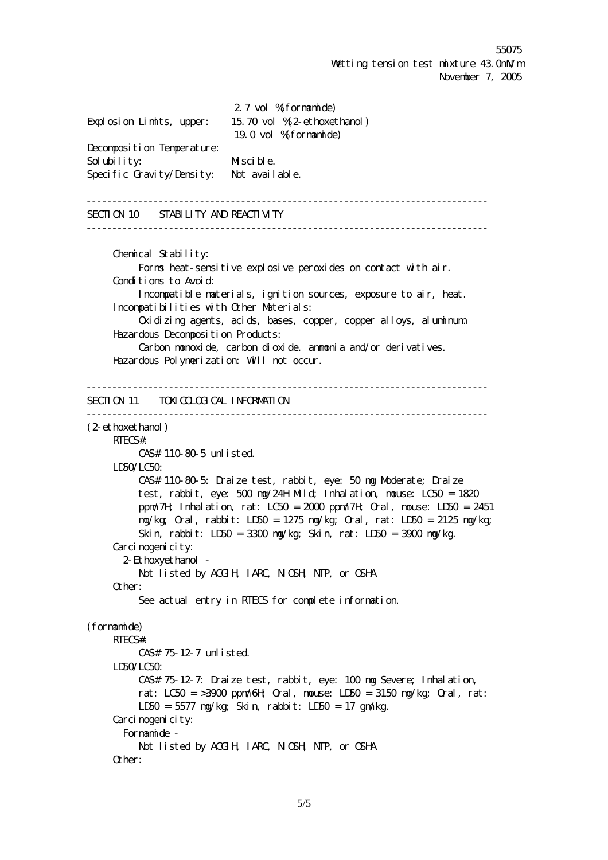2.7 vol %(formamide) Explosion Limits, upper: 15.70 vol %(2-ethoxethanol) 19.0 vol %(formamide) Decomposition Temperature: Solubility: Miscible. Specific Gravity/Density: Not available. ------------------------------------------------------------------------------ SECTION 10 STABILITY AND REACTIVITY ------------------------------------------------------------------------------ Chemical Stability: Forms heat-sensitive explosive peroxides on contact with air. Conditions to Avoid: Incompatible materials, ignition sources, exposure to air, heat. Incompatibilities with Other Materials: Oxidizing agents, acids, bases, copper, copper alloys, aluminum. Hazardous Deconposition Products: Carbon monoxide, carbon dioxide. ammonia and/or derivatives. Hazardous Polymerization: Will not occur. ------------------------------------------------------------------------------ SECTION 11 TOXICOLOGICAL INFORMATION  $-$ (2-ethoxethanol) RTECS#: CAS# 110-80-5 unlisted. LD50/LC50: CAS# 110-80-5: Draize test, rabbit, eye: 50 mg Moderate; Draize test, rabbit, eye: 500 mg/24H Mild; Inhalation, mouse: LC50 = 1820 ppm/7H; Inhalation, rat: LC50 =  $2000$  ppm/7H; Oral, mouse: LD50 =  $2451$  mg/kg; Oral, rabbit: LD50 = 1275 mg/kg; Oral, rat: LD50 = 2125 mg/kg; Skin, rabbit: LD50 = 3300 mg/kg; Skin, rat: LD50 = 3900 mg/kg. Carcinogenicity: 2-Ethoxyethanol - Not listed by ACGIH, IARC, NIOSH, NTP, or OSHA. Other: See actual entry in RTECS for complete information. (formamide) RTECS#: CAS# 75-12-7 unlisted. LD50/LC50: CAS# 75-12-7: Draize test, rabbit, eye: 100 mg Severe; Inhalation, rat:  $LCSO = 3900$  ppm/ $6H$ ; Cral, nouse:  $LDSO = 3150$  mg/kg; Cral, rat: LD50 = 5577 mg/kg; Skin, rabbit: LD50 = 17 gm/kg. Carci nogenicity: Formamide - Not listed by ACGIH, IARC, NIOSH, NTP, or OSHA. Other: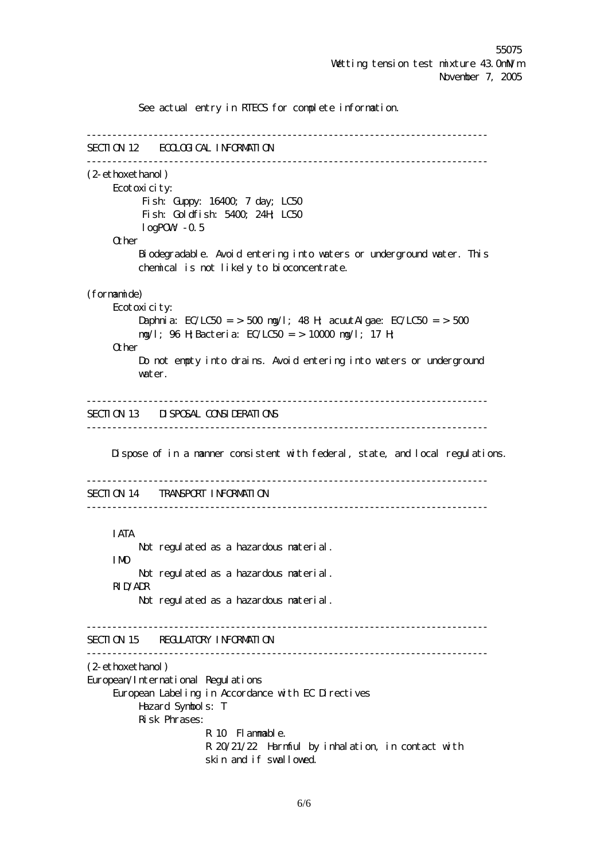See actual entry in RTECS for complete information. ------------------------------------------------------------------------------ SECTION 12 ECOLOGICAL INFORMATION ------------------------------------------------------------------------------ (2-ethoxethanol) Ecotoxicity: Fish: Guppy: 16400; 7 day; LC50 Fish: Goldfish: 5400; 24H; LC50 logPOW-0.5 **Other**  Biodegradable. Avoid entering into waters or underground water. This chemical is not likely to bioconcentrate. (formamide) Ecotoxicity: Daphnia: EC/LC50 = > 500 mg/l; 48 H; acuut Algae: EC/LC50 = > 500 mg/l; 96 H;Bacteria: EC/LC50 = > 10000 mg/l; 17 H; **Other**  Do not empty into drains. Avoid entering into waters or underground water. ------------------------------------------------------------------------------ SECTION 13 DISPOSAL CONSIDERATIONS ------------------------------------------------------------------------------ Dispose of in a manner consistent with federal, state, and local regulations. ------------------------------------------------------------------------------ SECTION 14 TRANSPORT INFORMATION ------------------------------------------------------------------------------ IATA Not regulated as a hazardous material. IMO Not regulated as a hazardous material. RID/ADR Not regulated as a hazardous material. ------------------------------------------------------------------------------ SECTION 15 REGULATORY INFORMATION ------------------------------------------------------------------------------ (2-ethoxethanol) European/International Regulations European Labeling in Accordance with EC Directives Hazard Symbols: T Risk Phrases: R 10 Flammable. R 20/21/22 Harmful by inhalation, in contact with skin and if swallowed.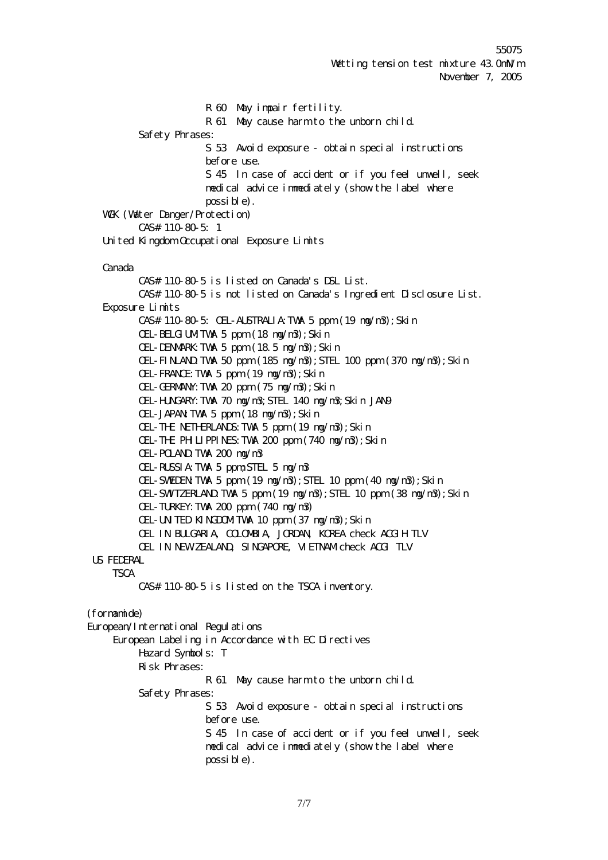R 60 May impair fertility. R 61 May cause harm to the unborn child. Safety Phrases: S 53 Avoid exposure - obtain special instructions before use. S 45 In case of accident or if you feel unwell, seek medical advice immediately (show the label where possible). WGK (Water Danger/Protection) CAS# 110-80-5: 1 United Kingdom Occupational Exposure Limits Canada CAS# 110-80-5 is listed on Canada's DSL List. CAS# 110-80-5 is not listed on Canada's Ingredient Disclosure List. Exposure Limits CAS# 110-80-5: OEL-AUSTRALIA:TWA 5 ppm (19 mg/m3);Skin OEL-BELGIUMTWA 5 ppm (18 mg/m3); Skin OEL-DENMARK:TWA 5 ppm (18.5 mg/m3);Skin OEL-FINLAND:TWA 50 ppm (185 mg/m3);STEL 100 ppm (370 mg/m3);Skin OEL-FRANCE:TWA 5 ppm (19 mg/m3);Skin OEL-GERMANY:TWA 20 ppm (75 mg/m3);Skin OEL-HUNGARY:TWA 70 mg/m3;STEL 140 mg/m3;Skin JAN9 OEL-JAPAN:TWA 5 ppm (18 mg/m3);Skin OEL-THE NETHERLANDS:TWA 5 ppm (19 mg/m3);Skin OEL-THE PHILIPPINES: TVMA 200 ppm (740 mg/m3); Skin OEL-POLAND:TWA 200 mg/m3 OEL-RUSSIA:TWA 5 ppm;STEL 5 mg/m3 OEL-SWEDEN:TWA 5 ppm (19 mg/m3);STEL 10 ppm (40 mg/m3);Skin OEL-SWITZERLAND:TWA 5 ppm (19 mg/m3);STEL 10 ppm (38 mg/m3);Skin OEL-TURKEY:TWA 200 ppm (740 mg/m3) OEL-UNITED KINGDOMITWA 10 ppm (37 mg/m3); Skin OEL IN BULGARIA, COLOMBIA, JORDAN, KOREA check ACGIH TLV OEL IN NEW ZEALAND, SINGAPORE, VIETNAM check ACGI TLV US FEDERAL **TSCA**  CAS# 110-80-5 is listed on the TSCA inventory. (formamide) European/International Regulations European Labeling in Accordance with EC Directives Hazard Symbols: T Risk Phrases: R 61 May cause harm to the unborn child. Safety Phrases: S 53 Avoid exposure - obtain special instructions before use. S 45 In case of accident or if you feel unwell, seek medical advice immediately (show the label where possible).